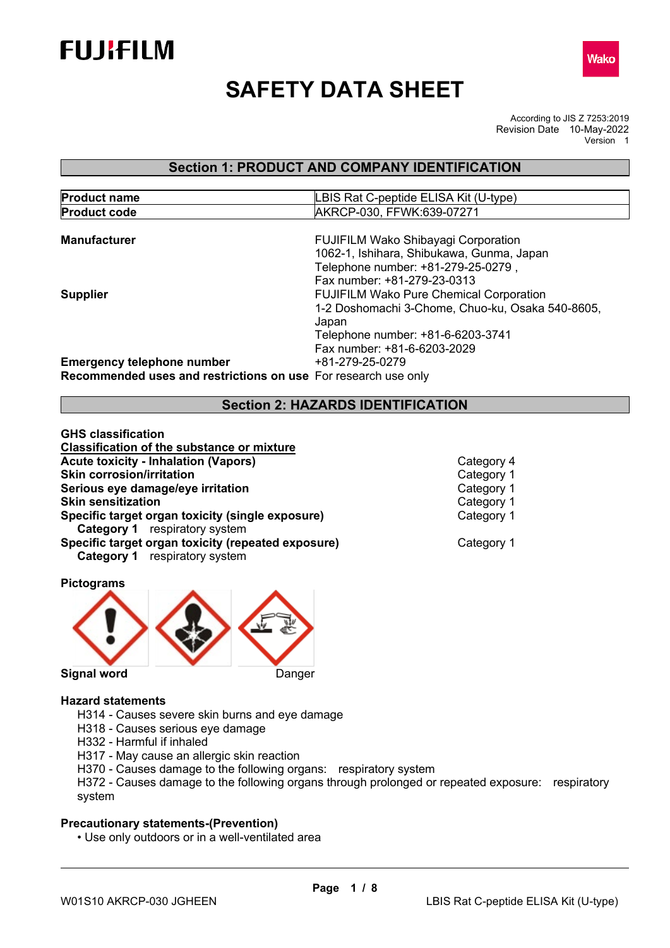



# **SAFETY DATA SHEET**

According to JIS Z 7253:2019 Revision Date 10-May-2022 Version 1

# **Section 1: PRODUCT AND COMPANY IDENTIFICATION**

| <b>Product name</b> | LBIS Rat C-peptide ELISA Kit (U-type)            |  |  |  |
|---------------------|--------------------------------------------------|--|--|--|
| <b>Product code</b> | AKRCP-030, FFWK:639-07271                        |  |  |  |
| <b>Manufacturer</b> | <b>FUJIFILM Wako Shibayagi Corporation</b>       |  |  |  |
|                     | 1062-1, Ishihara, Shibukawa, Gunma, Japan        |  |  |  |
|                     | Telephone number: +81-279-25-0279,               |  |  |  |
|                     | Fax number: +81-279-23-0313                      |  |  |  |
| <b>Supplier</b>     | <b>FUJIFILM Wako Pure Chemical Corporation</b>   |  |  |  |
|                     | 1-2 Doshomachi 3-Chome, Chuo-ku, Osaka 540-8605, |  |  |  |

Japan

Fax number: +81-6-6203-2029 **Emergency telephone number Recommended uses and restrictions on use** For research use only

### **Section 2: HAZARDS IDENTIFICATION**

Telephone number: +81-6-6203-3741

| GHS classification                                 |  |  |  |
|----------------------------------------------------|--|--|--|
| <b>Classification of the substance or mixture</b>  |  |  |  |
| <b>Acute toxicity - Inhalation (Vapors)</b>        |  |  |  |
| <b>Skin corrosion/irritation</b>                   |  |  |  |
| Serious eye damage/eye irritation                  |  |  |  |
| <b>Skin sensitization</b>                          |  |  |  |
| Specific target organ toxicity (single exposure)   |  |  |  |
| <b>Category 1</b> respiratory system               |  |  |  |
| Specific target organ toxicity (repeated exposure) |  |  |  |
| <b>Category 1</b> respiratory system               |  |  |  |
|                                                    |  |  |  |

**Category 4 Category 1 Category 1 Category 1 Category 1** 

**Category 1** 

**Signal word** Danger

**Pictograms** 

#### **Hazard statements**

- H314 Causes severe skin burns and eye damage
- H318 Causes serious eye damage
- H332 Harmful if inhaled
- H317 May cause an allergic skin reaction
- H370 Causes damage to the following organs: respiratory system

H372 - Causes damage to the following organs through prolonged or repeated exposure: respiratory system

#### **Precautionary statements-(Prevention)**

• Use only outdoors or in a well-ventilated area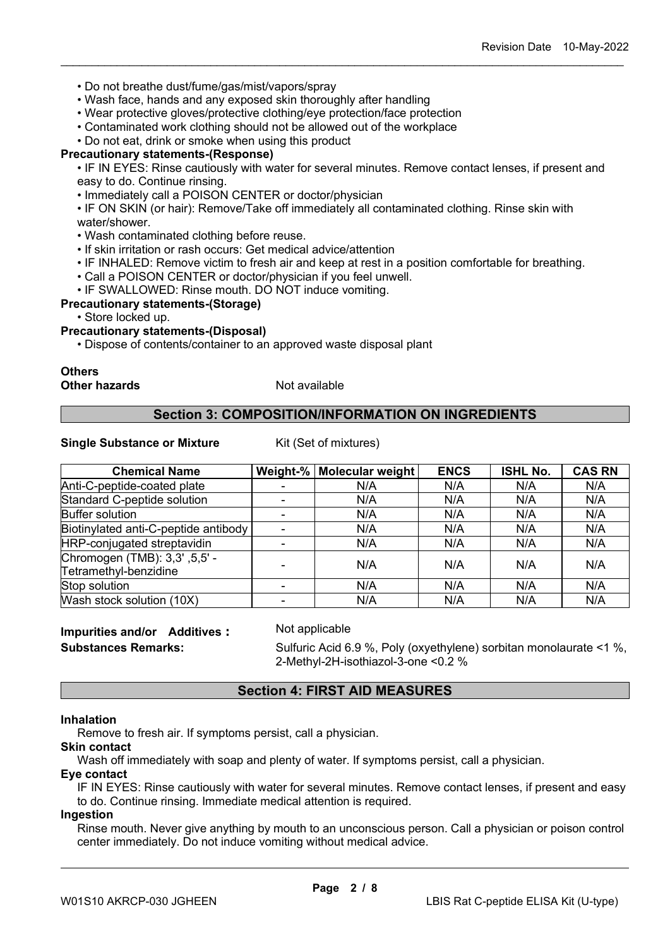- Do not breathe dust/fume/gas/mist/vapors/spray
- Wash face, hands and any exposed skin thoroughly after handling
- Wear protective gloves/protective clothing/eye protection/face protection
- Contaminated work clothing should not be allowed out of the workplace

• Do not eat, drink or smoke when using this product

#### **Precautionary statements-(Response)**

• IF IN EYES: Rinse cautiously with water for several minutes. Remove contact lenses, if present and easy to do. Continue rinsing.

\_\_\_\_\_\_\_\_\_\_\_\_\_\_\_\_\_\_\_\_\_\_\_\_\_\_\_\_\_\_\_\_\_\_\_\_\_\_\_\_\_\_\_\_\_\_\_\_\_\_\_\_\_\_\_\_\_\_\_\_\_\_\_\_\_\_\_\_\_\_\_\_\_\_\_\_\_\_\_\_\_\_\_\_\_\_\_\_\_\_

• Immediately call a POISON CENTER or doctor/physician

• IF ON SKIN (or hair): Remove/Take off immediately all contaminated clothing. Rinse skin with water/shower.

- Wash contaminated clothing before reuse.
- If skin irritation or rash occurs: Get medical advice/attention
- IF INHALED: Remove victim to fresh air and keep at rest in a position comfortable for breathing.
- Call a POISON CENTER or doctor/physician if you feel unwell.
- IF SWALLOWED: Rinse mouth. DO NOT induce vomiting.

#### **Precautionary statements-(Storage)**

• Store locked up.

#### **Precautionary statements-(Disposal)**

• Dispose of contents/container to an approved waste disposal plant

#### **Others Other hazards** Not available

#### **Section 3: COMPOSITION/INFORMATION ON INGREDIENTS**

#### **Single Substance or Mixture** Kit (Set of mixtures)

| <b>Chemical Name</b>                                   | Weight-% | Molecular weight | <b>ENCS</b> | <b>ISHL No.</b> | <b>CAS RN</b> |
|--------------------------------------------------------|----------|------------------|-------------|-----------------|---------------|
| Anti-C-peptide-coated plate                            |          | N/A              | N/A         | N/A             | N/A           |
| Standard C-peptide solution                            |          | N/A              | N/A         | N/A             | N/A           |
| <b>Buffer solution</b>                                 |          | N/A              | N/A         | N/A             | N/A           |
| Biotinylated anti-C-peptide antibody                   |          | N/A              | N/A         | N/A             | N/A           |
| HRP-conjugated streptavidin                            |          | N/A              | N/A         | N/A             | N/A           |
| Chromogen (TMB): 3,3', 5,5' -<br>Tetramethyl-benzidine |          | N/A              | N/A         | N/A             | N/A           |
| Stop solution                                          |          | N/A              | N/A         | N/A             | N/A           |
| Wash stock solution (10X)                              |          | N/A              | N/A         | N/A             | N/A           |

# **Impurities and/or Additives :** Not applicable

**Substances Remarks:** Sulfuric Acid 6.9 %, Poly (oxyethylene) sorbitan monolaurate <1 %, 2-Methyl-2H-isothiazol-3-one <0.2 %

### **Section 4: FIRST AID MEASURES**

#### **Inhalation**

Remove to fresh air. If symptoms persist, call a physician.

# **Skin contact**

Wash off immediately with soap and plenty of water. If symptoms persist, call a physician.

#### **Eye contact**

IF IN EYES: Rinse cautiously with water for several minutes. Remove contact lenses, if present and easy to do. Continue rinsing. Immediate medical attention is required.

#### **Ingestion**

Rinse mouth. Never give anything by mouth to an unconscious person. Call a physician or poison control center immediately. Do not induce vomiting without medical advice.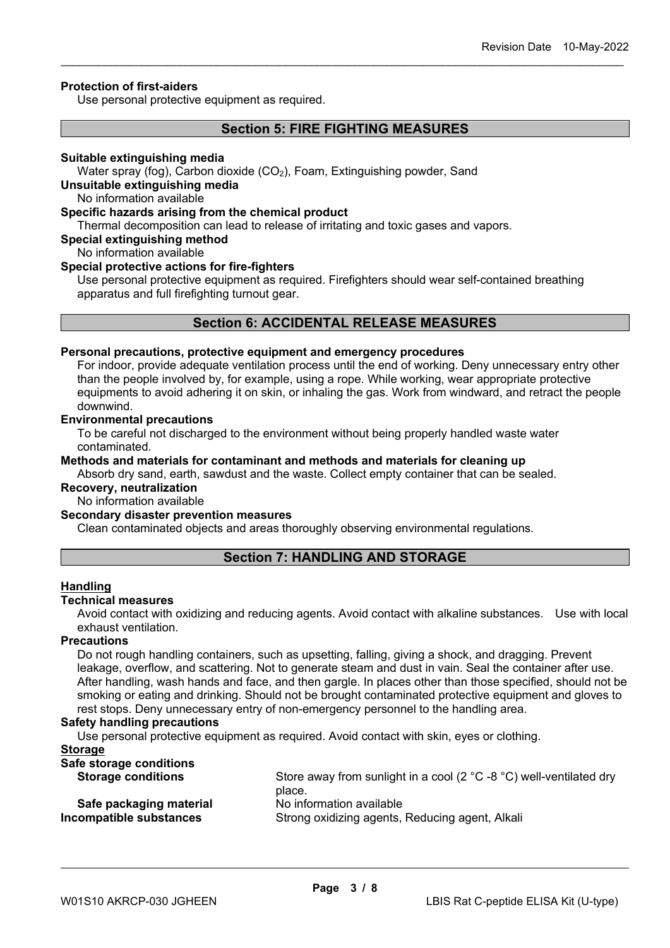#### **Protection of first-aiders**

Use personal protective equipment as required.

#### **Section 5: FIRE FIGHTING MEASURES**

\_\_\_\_\_\_\_\_\_\_\_\_\_\_\_\_\_\_\_\_\_\_\_\_\_\_\_\_\_\_\_\_\_\_\_\_\_\_\_\_\_\_\_\_\_\_\_\_\_\_\_\_\_\_\_\_\_\_\_\_\_\_\_\_\_\_\_\_\_\_\_\_\_\_\_\_\_\_\_\_\_\_\_\_\_\_\_\_\_\_

#### **Suitable extinguishing media**

Water spray (fog), Carbon dioxide (CO<sub>2</sub>), Foam, Extinguishing powder, Sand

#### **Unsuitable extinguishing media**

No information available

#### **Specific hazards arising from the chemical product**

Thermal decomposition can lead to release of irritating and toxic gases and vapors.

### **Special extinguishing method**

No information available

#### **Special protective actions for fire-fighters**

Use personal protective equipment as required. Firefighters should wear self-contained breathing apparatus and full firefighting turnout gear.

#### **Section 6: ACCIDENTAL RELEASE MEASURES**

#### **Personal precautions, protective equipment and emergency procedures**

For indoor, provide adequate ventilation process until the end of working. Deny unnecessary entry other than the people involved by, for example, using a rope. While working, wear appropriate protective equipments to avoid adhering it on skin, or inhaling the gas. Work from windward, and retract the people downwind.

#### **Environmental precautions**

To be careful not discharged to the environment without being properly handled waste water contaminated.

**Methods and materials for contaminant and methods and materials for cleaning up**

Absorb dry sand, earth, sawdust and the waste. Collect empty container that can be sealed.

### **Recovery, neutralization**

No information available

#### **Secondary disaster prevention measures**

Clean contaminated objects and areas thoroughly observing environmental regulations.

#### **Section 7: HANDLING AND STORAGE**

#### **Handling**

#### **Technical measures**

Avoid contact with oxidizing and reducing agents. Avoid contact with alkaline substances. Use with local exhaust ventilation.

#### **Precautions**

Do not rough handling containers, such as upsetting, falling, giving a shock, and dragging. Prevent leakage, overflow, and scattering. Not to generate steam and dust in vain. Seal the container after use. After handling, wash hands and face, and then gargle. In places other than those specified, should not be smoking or eating and drinking. Should not be brought contaminated protective equipment and gloves to rest stops. Deny unnecessary entry of non-emergency personnel to the handling area.

#### **Safety handling precautions**

Use personal protective equipment as required. Avoid contact with skin, eyes or clothing.

#### **Storage**

| Store away from sunlight in a cool (2 $^{\circ}$ C -8 $^{\circ}$ C) well-ventilated dry<br>place. |
|---------------------------------------------------------------------------------------------------|
| No information available                                                                          |
| Strong oxidizing agents, Reducing agent, Alkali                                                   |
|                                                                                                   |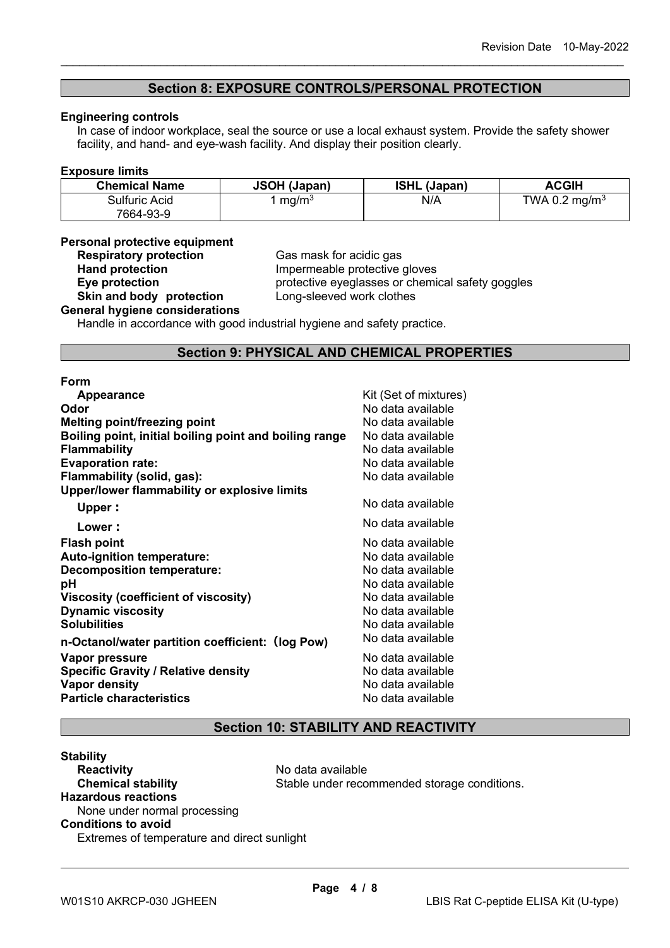#### **Section 8: EXPOSURE CONTROLS/PERSONAL PROTECTION**

\_\_\_\_\_\_\_\_\_\_\_\_\_\_\_\_\_\_\_\_\_\_\_\_\_\_\_\_\_\_\_\_\_\_\_\_\_\_\_\_\_\_\_\_\_\_\_\_\_\_\_\_\_\_\_\_\_\_\_\_\_\_\_\_\_\_\_\_\_\_\_\_\_\_\_\_\_\_\_\_\_\_\_\_\_\_\_\_\_\_

#### **Engineering controls**

In case of indoor workplace, seal the source or use a local exhaust system. Provide the safety shower facility, and hand- and eye-wash facility. And display their position clearly.

#### **Exposure limits**

| <b>Chemical Name</b> | <b>JSOH (Japan)</b> | <b>ISHL (Japan)</b> | <b>ACGIH</b>              |
|----------------------|---------------------|---------------------|---------------------------|
| Sulfuric Acid        | mg/m <sup>3</sup>   | N/A                 | TWA 0.2 mg/m <sup>3</sup> |
| 7664-93-9            |                     |                     |                           |

#### **Personal protective equipment**

**Respiratory protection**<br> **Respiratory protection**<br> **Cas mask for acidic gas<br>
Impermeable protective Hand protection**<br> **Eye protection**<br> **Eye protection**<br> **Exercise**<br> **Exercise**<br> **Exercise**<br> **Exercise**<br> **Exercise**<br> **Exercise**<br> **Exercise**<br> **Exercise**<br> **Exercise**<br> **Exercise**<br> **Exercise**<br> **Exercise**<br> **Exercise Skin and body protection** 

protective eyeglasses or chemical safety goggles<br>Long-sleeved work clothes

# **General hygiene considerations**

Handle in accordance with good industrial hygiene and safety practice.

#### **Section 9: PHYSICAL AND CHEMICAL PROPERTIES**

#### **Form**

| <b>Appearance</b>                                      | Kit (Set of mixtures) |
|--------------------------------------------------------|-----------------------|
| Odor                                                   | No data available     |
| <b>Melting point/freezing point</b>                    | No data available     |
| Boiling point, initial boiling point and boiling range | No data available     |
| <b>Flammability</b>                                    | No data available     |
| <b>Evaporation rate:</b>                               | No data available     |
| Flammability (solid, gas):                             | No data available     |
| Upper/lower flammability or explosive limits           |                       |
| Upper:                                                 | No data available     |
| Lower:                                                 | No data available     |
| <b>Flash point</b>                                     | No data available     |
| <b>Auto-ignition temperature:</b>                      | No data available     |
| <b>Decomposition temperature:</b>                      | No data available     |
| рH                                                     | No data available     |
| Viscosity (coefficient of viscosity)                   | No data available     |
| <b>Dynamic viscosity</b>                               | No data available     |
| <b>Solubilities</b>                                    | No data available     |
| n-Octanol/water partition coefficient: (log Pow)       | No data available     |
| Vapor pressure                                         | No data available     |
| <b>Specific Gravity / Relative density</b>             | No data available     |
| <b>Vapor density</b>                                   | No data available     |
| <b>Particle characteristics</b>                        | No data available     |
|                                                        |                       |

# **Section 10: STABILITY AND REACTIVITY**

#### **Stability Reactivity**<br> **Chemical stability**<br> **Chemical stability**<br> **Chemical stability**<br> **Chemical stability**<br> **Chemical stability** Stable under recommended storage conditions. **Hazardous reactions** None under normal processing **Conditions to avoid** Extremes of temperature and direct sunlight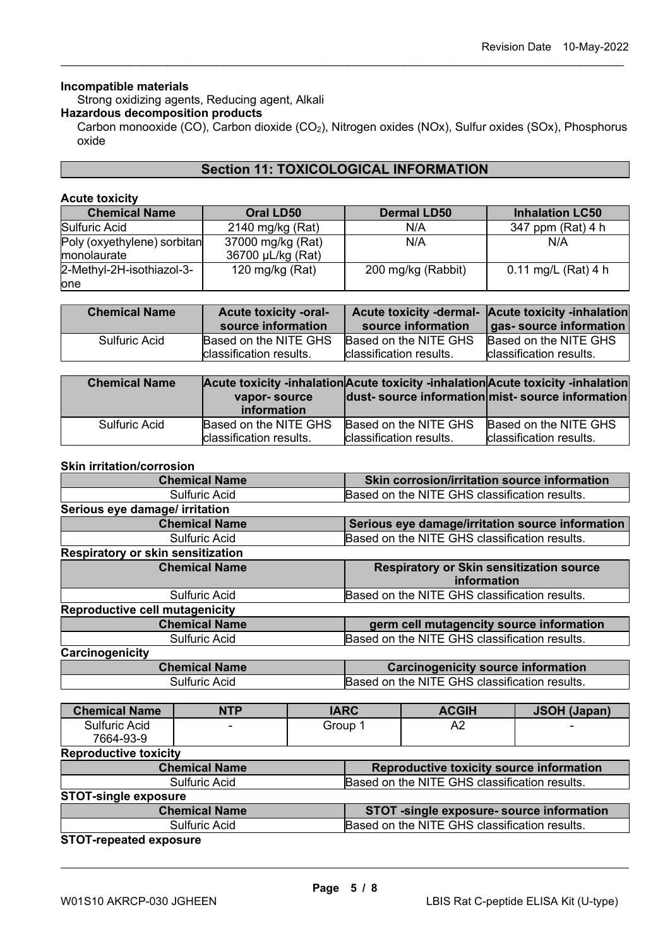#### **Incompatible materials**

Strong oxidizing agents, Reducing agent, Alkali

#### **Hazardous decomposition products**

Carbon monooxide (CO), Carbon dioxide (CO<sub>2</sub>), Nitrogen oxides (NOx), Sulfur oxides (SOx), Phosphorus oxide

\_\_\_\_\_\_\_\_\_\_\_\_\_\_\_\_\_\_\_\_\_\_\_\_\_\_\_\_\_\_\_\_\_\_\_\_\_\_\_\_\_\_\_\_\_\_\_\_\_\_\_\_\_\_\_\_\_\_\_\_\_\_\_\_\_\_\_\_\_\_\_\_\_\_\_\_\_\_\_\_\_\_\_\_\_\_\_\_\_\_

### **Section 11: TOXICOLOGICAL INFORMATION**

#### **Acute toxicity**

| <b>Chemical Name</b>                       | <b>Oral LD50</b>                       | <b>Dermal LD50</b> | <b>Inhalation LC50</b> |
|--------------------------------------------|----------------------------------------|--------------------|------------------------|
| Sulfuric Acid                              | 2140 mg/kg (Rat)                       | N/A                | 347 ppm (Rat) 4 h      |
| Poly (oxyethylene) sorbitan<br>monolaurate | 37000 mg/kg (Rat)<br>36700 µL/kg (Rat) | N/A                | N/A                    |
| 2-Methyl-2H-isothiazol-3-                  | 120 mg/kg $(Rat)$                      | 200 mg/kg (Rabbit) | 0.11 mg/L (Rat) 4 h    |
| lone                                       |                                        |                    |                        |

| <b>Chemical Name</b> | <b>Acute toxicity -oral-</b><br>source information | source information      | Acute toxicity -dermal- Acute toxicity -inhalation<br>gas- source information |
|----------------------|----------------------------------------------------|-------------------------|-------------------------------------------------------------------------------|
| Sulfuric Acid        | Based on the NITE GHS                              | Based on the NITE GHS   | Based on the NITE GHS                                                         |
|                      | Iclassification results.                           | classification results. | classification results.                                                       |

| <b>Chemical Name</b> | vapor-source<br><i>information</i> |                         | Acute toxicity -inhalation Acute toxicity -inhalation Acute toxicity -inhalation<br>dust-source information mist-source information |
|----------------------|------------------------------------|-------------------------|-------------------------------------------------------------------------------------------------------------------------------------|
| Sulfuric Acid        | Based on the NITE GHS              | Based on the NITE GHS   | Based on the NITE GHS                                                                                                               |
|                      | classification results.            | classification results. | classification results.                                                                                                             |

#### **Skin irritation/corrosion**

|                                          | <b>Chemical Name</b> |                                           | Skin corrosion/irritation source information                   |                                               |                     |
|------------------------------------------|----------------------|-------------------------------------------|----------------------------------------------------------------|-----------------------------------------------|---------------------|
|                                          | <b>Sulfuric Acid</b> |                                           | Based on the NITE GHS classification results.                  |                                               |                     |
| Serious eye damage/ irritation           |                      |                                           |                                                                |                                               |                     |
|                                          | <b>Chemical Name</b> |                                           | Serious eye damage/irritation source information               |                                               |                     |
|                                          | <b>Sulfuric Acid</b> |                                           |                                                                | Based on the NITE GHS classification results. |                     |
| <b>Respiratory or skin sensitization</b> |                      |                                           |                                                                |                                               |                     |
|                                          | <b>Chemical Name</b> |                                           | <b>Respiratory or Skin sensitization source</b><br>information |                                               |                     |
|                                          | <b>Sulfuric Acid</b> |                                           |                                                                | Based on the NITE GHS classification results. |                     |
| <b>Reproductive cell mutagenicity</b>    |                      |                                           |                                                                |                                               |                     |
| <b>Chemical Name</b>                     |                      | germ cell mutagencity source information  |                                                                |                                               |                     |
| <b>Sulfuric Acid</b>                     |                      |                                           | Based on the NITE GHS classification results.                  |                                               |                     |
| Carcinogenicity                          |                      |                                           |                                                                |                                               |                     |
| <b>Chemical Name</b>                     |                      | <b>Carcinogenicity source information</b> |                                                                |                                               |                     |
|                                          | <b>Sulfuric Acid</b> |                                           | Based on the NITE GHS classification results.                  |                                               |                     |
|                                          |                      |                                           |                                                                |                                               |                     |
| <b>Chemical Name</b>                     | <b>NTP</b>           | <b>IARC</b>                               |                                                                | <b>ACGIH</b>                                  | <b>JSOH (Japan)</b> |
| <b>Sulfuric Acid</b><br>7664-93-9        |                      | Group 1                                   |                                                                | A2                                            |                     |
| <b>Reproductive toxicity</b>             |                      |                                           |                                                                |                                               |                     |

| <b>Chemical Name</b>        | Reproductive toxicity source information      |
|-----------------------------|-----------------------------------------------|
| Sulfuric Acid               | Based on the NITE GHS classification results. |
| <b>STOT-single exposure</b> |                                               |
| <b>Chemical Name</b>        | STOT -single exposure- source information     |
| Sulfuric Acid               | Based on the NITE GHS classification results. |

**STOT-repeated exposure**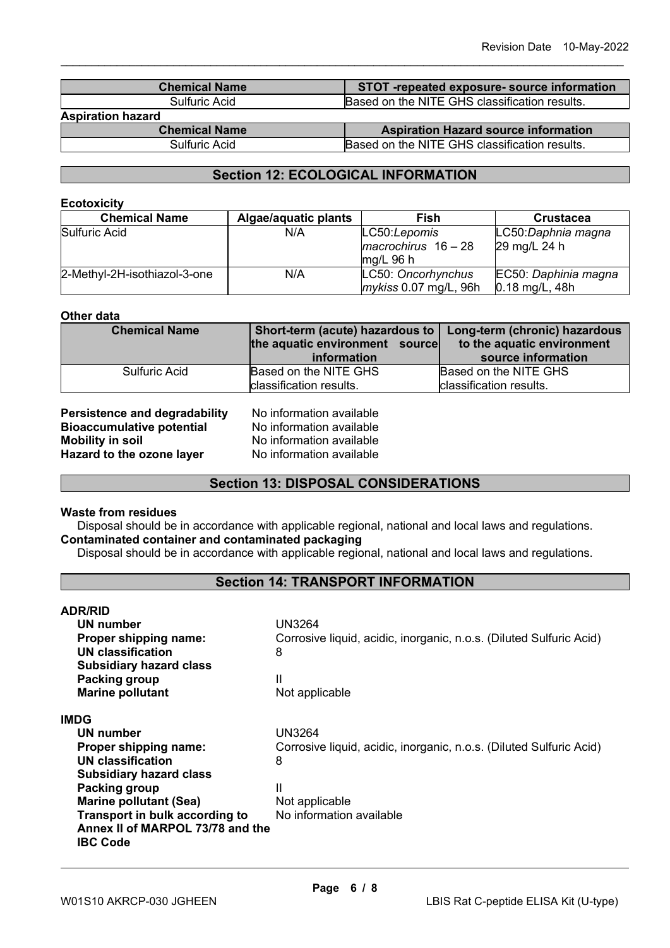| <b>Chemical Name</b>     | STOT-repeated exposure- source information    |
|--------------------------|-----------------------------------------------|
| Sulfuric Acid            | Based on the NITE GHS classification results. |
| <b>Aspiration hazard</b> |                                               |
| $ -$<br>.                | ____                                          |

\_\_\_\_\_\_\_\_\_\_\_\_\_\_\_\_\_\_\_\_\_\_\_\_\_\_\_\_\_\_\_\_\_\_\_\_\_\_\_\_\_\_\_\_\_\_\_\_\_\_\_\_\_\_\_\_\_\_\_\_\_\_\_\_\_\_\_\_\_\_\_\_\_\_\_\_\_\_\_\_\_\_\_\_\_\_\_\_\_\_

**Chemical Name**<br> **Aspiration Hazard source information**<br> **Aspiration Hazard source information**<br> **Aspiration Hazard source information**<br> **Aspiration Hazard source information** Based on the NITE GHS classification results.

# **Section 12: ECOLOGICAL INFORMATION**

#### **Ecotoxicity**

| <b>Chemical Name</b>         | <b>Algae/aquatic plants</b> | Fish                                                 | <b>Crustacea</b>                         |
|------------------------------|-----------------------------|------------------------------------------------------|------------------------------------------|
| Sulfuric Acid                | N/A                         | LC50:Lepomis<br>$macrochirus$ 16 - 28<br>$mq/L$ 96 h | LC50:Daphnia magna<br>29 mg/L 24 h       |
| 2-Methyl-2H-isothiazol-3-one | N/A                         | LC50: Oncorhynchus<br>mykiss 0.07 mg/L, 96h          | EC50: Daphinia magna<br>$0.18$ mg/L, 48h |

#### **Other data**

| <b>Chemical Name</b> | Short-term (acute) hazardous to   Long-term (chronic) hazardous<br>the aquatic environment source | to the aquatic environment                       |  |
|----------------------|---------------------------------------------------------------------------------------------------|--------------------------------------------------|--|
|                      | information                                                                                       | source information                               |  |
| Sulfuric Acid        | Based on the NITE GHS<br>classification results.                                                  | Based on the NITE GHS<br>classification results. |  |

**Persistence and degradability** No information available<br>**Bioaccumulative potential** No information available **Bioaccumulative potential<br>Mobility in soil Hazard to the ozone layer** 

No information available<br>No information available

### **Section 13: DISPOSAL CONSIDERATIONS**

#### **Waste from residues**

Disposal should be in accordance with applicable regional, national and local laws and regulations. **Contaminated container and contaminated packaging**

Disposal should be in accordance with applicable regional, national and local laws and regulations.

#### **Section 14: TRANSPORT INFORMATION**

| <b>ADR/RID</b>                   |                                                                     |
|----------------------------------|---------------------------------------------------------------------|
| UN number                        | <b>UN3264</b>                                                       |
| Proper shipping name:            | Corrosive liquid, acidic, inorganic, n.o.s. (Diluted Sulfuric Acid) |
| UN classification                | 8                                                                   |
| <b>Subsidiary hazard class</b>   |                                                                     |
| Packing group                    | Ш                                                                   |
| <b>Marine pollutant</b>          | Not applicable                                                      |
| <b>IMDG</b>                      |                                                                     |
| UN number                        | <b>UN3264</b>                                                       |
| Proper shipping name:            | Corrosive liquid, acidic, inorganic, n.o.s. (Diluted Sulfuric Acid) |
| UN classification                | 8                                                                   |
| <b>Subsidiary hazard class</b>   |                                                                     |
| Packing group                    | Ш                                                                   |
| <b>Marine pollutant (Sea)</b>    | Not applicable                                                      |
| Transport in bulk according to   | No information available                                            |
| Annex II of MARPOL 73/78 and the |                                                                     |
| <b>IBC Code</b>                  |                                                                     |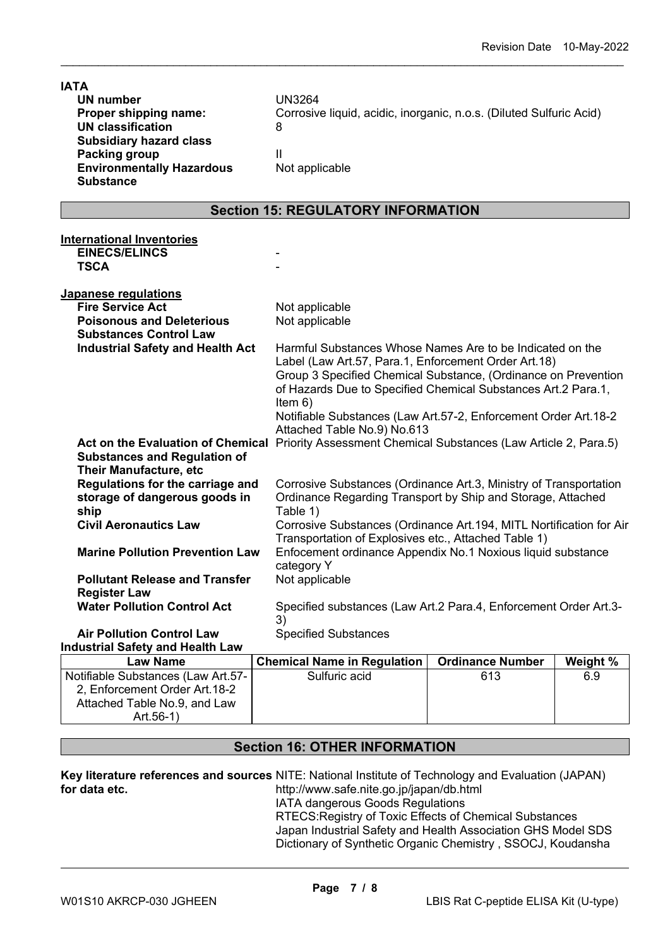| <b>IATA</b><br><b>UN number</b><br>Proper shipping name:<br><b>UN classification</b><br><b>Subsidiary hazard class</b><br>Packing group | <b>UN3264</b><br>Corrosive liquid, acidic, inorganic, n.o.s. (Diluted Sulfuric Acid)<br>8<br>Ш                                                                                                                                                                                                         |                         |          |  |  |
|-----------------------------------------------------------------------------------------------------------------------------------------|--------------------------------------------------------------------------------------------------------------------------------------------------------------------------------------------------------------------------------------------------------------------------------------------------------|-------------------------|----------|--|--|
| <b>Environmentally Hazardous</b><br><b>Substance</b>                                                                                    | Not applicable                                                                                                                                                                                                                                                                                         |                         |          |  |  |
| <b>Section 15: REGULATORY INFORMATION</b>                                                                                               |                                                                                                                                                                                                                                                                                                        |                         |          |  |  |
| <b>International Inventories</b>                                                                                                        |                                                                                                                                                                                                                                                                                                        |                         |          |  |  |
| <b>EINECS/ELINCS</b><br><b>TSCA</b>                                                                                                     |                                                                                                                                                                                                                                                                                                        |                         |          |  |  |
| Japanese regulations                                                                                                                    |                                                                                                                                                                                                                                                                                                        |                         |          |  |  |
| <b>Fire Service Act</b>                                                                                                                 | Not applicable                                                                                                                                                                                                                                                                                         |                         |          |  |  |
| <b>Poisonous and Deleterious</b><br><b>Substances Control Law</b>                                                                       | Not applicable                                                                                                                                                                                                                                                                                         |                         |          |  |  |
| <b>Industrial Safety and Health Act</b>                                                                                                 | Harmful Substances Whose Names Are to be Indicated on the                                                                                                                                                                                                                                              |                         |          |  |  |
| <b>Act on the Evaluation of Chemical</b>                                                                                                | Label (Law Art.57, Para.1, Enforcement Order Art.18)<br>Group 3 Specified Chemical Substance, (Ordinance on Prevention<br>of Hazards Due to Specified Chemical Substances Art.2 Para.1,<br>Item $6)$<br>Notifiable Substances (Law Art.57-2, Enforcement Order Art.18-2<br>Attached Table No.9) No.613 |                         |          |  |  |
| <b>Substances and Regulation of</b><br><b>Their Manufacture, etc</b>                                                                    | Priority Assessment Chemical Substances (Law Article 2, Para.5)                                                                                                                                                                                                                                        |                         |          |  |  |
| Regulations for the carriage and<br>storage of dangerous goods in<br>ship                                                               | Corrosive Substances (Ordinance Art.3, Ministry of Transportation<br>Ordinance Regarding Transport by Ship and Storage, Attached<br>Table 1)                                                                                                                                                           |                         |          |  |  |
| <b>Civil Aeronautics Law</b>                                                                                                            | Corrosive Substances (Ordinance Art. 194, MITL Nortification for Air                                                                                                                                                                                                                                   |                         |          |  |  |
| <b>Marine Pollution Prevention Law</b>                                                                                                  | Transportation of Explosives etc., Attached Table 1)<br>Enfocement ordinance Appendix No.1 Noxious liquid substance<br>category Y                                                                                                                                                                      |                         |          |  |  |
| <b>Pollutant Release and Transfer</b>                                                                                                   | Not applicable                                                                                                                                                                                                                                                                                         |                         |          |  |  |
| <b>Register Law</b>                                                                                                                     |                                                                                                                                                                                                                                                                                                        |                         |          |  |  |
| <b>Water Pollution Control Act</b>                                                                                                      | Specified substances (Law Art.2 Para.4, Enforcement Order Art.3-<br>3)                                                                                                                                                                                                                                 |                         |          |  |  |
| <b>Air Pollution Control Law</b>                                                                                                        | <b>Specified Substances</b>                                                                                                                                                                                                                                                                            |                         |          |  |  |
| <b>Industrial Safety and Health Law</b>                                                                                                 |                                                                                                                                                                                                                                                                                                        |                         |          |  |  |
| <b>Law Name</b>                                                                                                                         | <b>Chemical Name in Regulation</b>                                                                                                                                                                                                                                                                     | <b>Ordinance Number</b> | Weight % |  |  |
| Notifiable Substances (Law Art.57-                                                                                                      | Sulfuric acid                                                                                                                                                                                                                                                                                          | 613                     | 6.9      |  |  |
| 2, Enforcement Order Art. 18-2<br>Attached Table No.9, and Law                                                                          |                                                                                                                                                                                                                                                                                                        |                         |          |  |  |

\_\_\_\_\_\_\_\_\_\_\_\_\_\_\_\_\_\_\_\_\_\_\_\_\_\_\_\_\_\_\_\_\_\_\_\_\_\_\_\_\_\_\_\_\_\_\_\_\_\_\_\_\_\_\_\_\_\_\_\_\_\_\_\_\_\_\_\_\_\_\_\_\_\_\_\_\_\_\_\_\_\_\_\_\_\_\_\_\_\_

# **Section 16: OTHER INFORMATION**

|               | <b>Key literature references and sources</b> NITE: National Institute of Technology and Evaluation (JAPAN) |
|---------------|------------------------------------------------------------------------------------------------------------|
| for data etc. | http://www.safe.nite.go.jp/japan/db.html                                                                   |
|               | IATA dangerous Goods Regulations                                                                           |

RTECS:Registry of Toxic Effects of Chemical Substances Japan Industrial Safety and Health Association GHS Model SDS Dictionary of Synthetic Organic Chemistry , SSOCJ, Koudansha

Art.56-1)